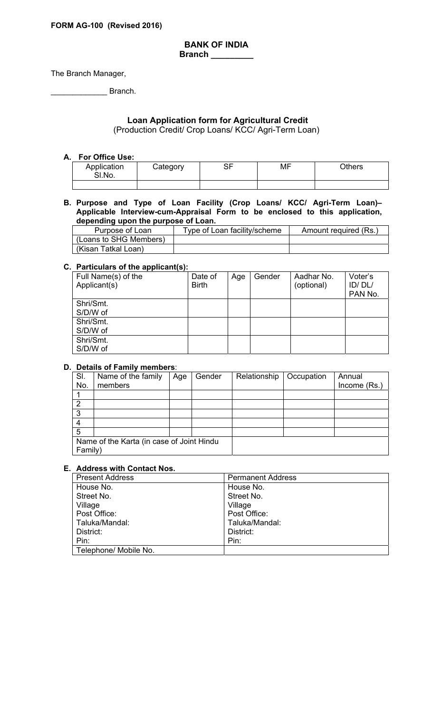#### **BANK OF INDIA Branch \_\_\_\_\_\_\_\_\_**

The Branch Manager,

\_\_\_\_\_\_\_\_\_\_\_\_\_ Branch.

## **Loan Application form for Agricultural Credit**

(Production Credit/ Crop Loans/ KCC/ Agri-Term Loan)

#### **A. For Office Use:**

| Application<br>SI.No. | Category | n-<br>יש | MF | <b>Others</b> |
|-----------------------|----------|----------|----|---------------|
|                       |          |          |    |               |

#### **B. Purpose and Type of Loan Facility (Crop Loans/ KCC/ Agri-Term Loan)– Applicable Interview-cum-Appraisal Form to be enclosed to this application, depending upon the purpose of Loan.**

| Purpose of Loan        | Type of Loan facility/scheme | Amount required (Rs.) |
|------------------------|------------------------------|-----------------------|
| (Loans to SHG Members) |                              |                       |
| (Kisan Tatkal Loan)    |                              |                       |

#### **C. Particulars of the applicant(s):**

| . .<br>Full Name(s) of the<br>Applicant(s) | Date of<br><b>Birth</b> | Age | Gender | Aadhar No.<br>(optional) | Voter's<br>ID/DL/<br>PAN No. |
|--------------------------------------------|-------------------------|-----|--------|--------------------------|------------------------------|
| Shri/Smt.                                  |                         |     |        |                          |                              |
| S/D/W of                                   |                         |     |        |                          |                              |
| Shri/Smt.                                  |                         |     |        |                          |                              |
| S/D/W of                                   |                         |     |        |                          |                              |
| Shri/Smt.                                  |                         |     |        |                          |                              |
| S/D/W of                                   |                         |     |        |                          |                              |

#### **D. Details of Family members**:

| SI.<br>No. | Name of the family<br>members             | Age | Gender | Relationship | Occupation | Annual<br>Income (Rs.) |
|------------|-------------------------------------------|-----|--------|--------------|------------|------------------------|
|            |                                           |     |        |              |            |                        |
|            |                                           |     |        |              |            |                        |
| ◠          |                                           |     |        |              |            |                        |
| 3          |                                           |     |        |              |            |                        |
|            |                                           |     |        |              |            |                        |
| 5          |                                           |     |        |              |            |                        |
|            | Name of the Karta (in case of Joint Hindu |     |        |              |            |                        |
| Family)    |                                           |     |        |              |            |                        |

# **E. Address with Contact Nos.**

| <b>Present Address</b> | <b>Permanent Address</b> |
|------------------------|--------------------------|
| House No.              | House No.                |
| Street No.             | Street No.               |
| Village                | Village                  |
| Post Office:           | Post Office:             |
| Taluka/Mandal:         | Taluka/Mandal:           |
| District:              | District:                |
| Pin:                   | Pin:                     |
| Telephone/ Mobile No.  |                          |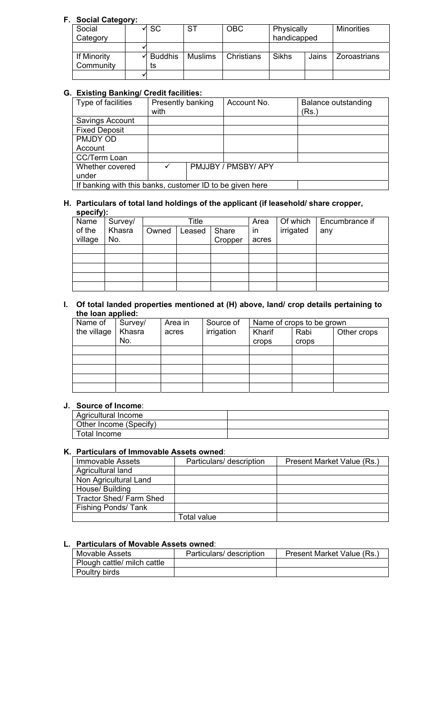## **F. Social Category:**

|             | $\sim$ |                |                |            |             |       |                     |
|-------------|--------|----------------|----------------|------------|-------------|-------|---------------------|
| Social      |        | $\sqrt{SC}$    | <b>ST</b>      | <b>OBC</b> | Physically  |       | <b>Minorities</b>   |
| Category    |        |                |                |            | handicapped |       |                     |
|             |        |                |                |            |             |       |                     |
| If Minority |        | <b>Buddhis</b> | <b>Muslims</b> | Christians | Sikhs       | Jains | <b>Zoroastrians</b> |
| Community   |        | ts             |                |            |             |       |                     |
|             |        |                |                |            |             |       |                     |

## **G. Existing Banking/ Credit facilities:**

| Type of facilities                                       | Presently banking |  | Account No.         | <b>Balance outstanding</b> |  |
|----------------------------------------------------------|-------------------|--|---------------------|----------------------------|--|
|                                                          | with              |  |                     | (Rs.)                      |  |
| Savings Account                                          |                   |  |                     |                            |  |
| <b>Fixed Deposit</b>                                     |                   |  |                     |                            |  |
| PMJDY OD                                                 |                   |  |                     |                            |  |
| Account                                                  |                   |  |                     |                            |  |
| CC/Term Loan                                             |                   |  |                     |                            |  |
| Whether covered                                          | ✓                 |  | PMJJBY / PMSBY/ APY |                            |  |
| under                                                    |                   |  |                     |                            |  |
| If banking with this banks, customer ID to be given here |                   |  |                     |                            |  |

#### **H. Particulars of total land holdings of the applicant (if leasehold/ share cropper, specify):**

| . .<br>Name | Survey/ |       | Title  |         | Area         | Of which  | Encumbrance if |
|-------------|---------|-------|--------|---------|--------------|-----------|----------------|
| of the      | Khasra  | Owned | Leased | Share   | $\mathsf{I}$ | irrigated | any            |
| village     | No.     |       |        | Cropper | acres        |           |                |
|             |         |       |        |         |              |           |                |
|             |         |       |        |         |              |           |                |
|             |         |       |        |         |              |           |                |
|             |         |       |        |         |              |           |                |
|             |         |       |        |         |              |           |                |

### **I. Of total landed properties mentioned at (H) above, land/ crop details pertaining to the loan applied:**

| Name of     | Survey/ | Area in | Source of  |        | Name of crops to be grown |             |
|-------------|---------|---------|------------|--------|---------------------------|-------------|
| the village | Khasra  | acres   | irrigation | Kharif | Rabi                      | Other crops |
|             | No.     |         |            | crops  | <b>crops</b>              |             |
|             |         |         |            |        |                           |             |
|             |         |         |            |        |                           |             |
|             |         |         |            |        |                           |             |
|             |         |         |            |        |                           |             |
|             |         |         |            |        |                           |             |

## **J. Source of Income**:

| Agricultural Income    |  |
|------------------------|--|
| Other Income (Specify) |  |
| Total Income           |  |

## **K. Particulars of Immovable Assets owned**:

| Immovable Assets              | Particulars/ description | Present Market Value (Rs.) |
|-------------------------------|--------------------------|----------------------------|
| Agricultural land             |                          |                            |
| Non Agricultural Land         |                          |                            |
| House/ Building               |                          |                            |
| <b>Tractor Shed/Farm Shed</b> |                          |                            |
| <b>Fishing Ponds/Tank</b>     |                          |                            |
|                               | Total value              |                            |

## **L. Particulars of Movable Assets owned**:

| <b>Movable Assets</b>       | Particulars/ description | Present Market Value (Rs.) |  |  |  |  |  |  |
|-----------------------------|--------------------------|----------------------------|--|--|--|--|--|--|
| Plough cattle/ milch cattle |                          |                            |  |  |  |  |  |  |
| Poultry birds               |                          |                            |  |  |  |  |  |  |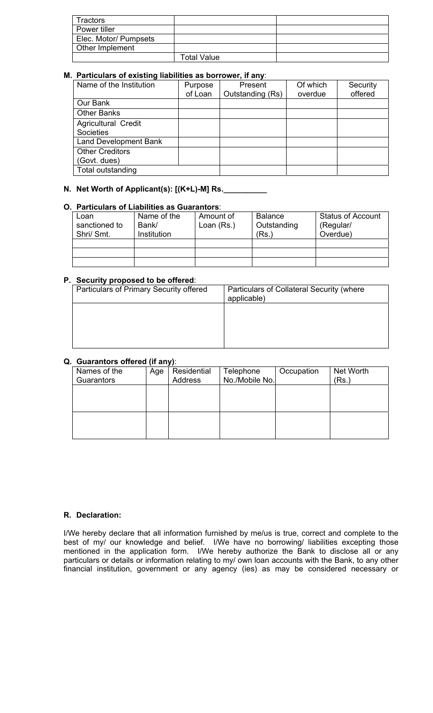| Tractors              |                    |  |
|-----------------------|--------------------|--|
| Power tiller          |                    |  |
| Elec. Motor/ Pumpsets |                    |  |
| Other Implement       |                    |  |
|                       | <b>Total Value</b> |  |

## **M. Particulars of existing liabilities as borrower, if any**:

| Name of the Institution      | Purpose | Present          | Of which | Security |
|------------------------------|---------|------------------|----------|----------|
|                              | of Loan | Outstanding (Rs) | overdue  | offered  |
| Our Bank                     |         |                  |          |          |
| <b>Other Banks</b>           |         |                  |          |          |
| <b>Agricultural Credit</b>   |         |                  |          |          |
| Societies                    |         |                  |          |          |
| <b>Land Development Bank</b> |         |                  |          |          |
| <b>Other Creditors</b>       |         |                  |          |          |
| (Govt. dues)                 |         |                  |          |          |
| Total outstanding            |         |                  |          |          |

# **N. Net Worth of Applicant(s): [(K+L)-M] Rs.**

## **O. Particulars of Liabilities as Guarantors**:

| Loan<br>sanctioned to<br>Shri/ Smt. | Name of the<br>Bank/<br><b>Institution</b> | Amount of<br>Loan (Rs.) | <b>Balance</b><br>Outstanding<br>'Rs.` | <b>Status of Account</b><br>(Regular/<br>Overdue) |
|-------------------------------------|--------------------------------------------|-------------------------|----------------------------------------|---------------------------------------------------|
|                                     |                                            |                         |                                        |                                                   |
|                                     |                                            |                         |                                        |                                                   |
|                                     |                                            |                         |                                        |                                                   |

### **P. Security proposed to be offered**:

| Particulars of Primary Security offered | Particulars of Collateral Security (where<br>applicable) |
|-----------------------------------------|----------------------------------------------------------|
|                                         |                                                          |
|                                         |                                                          |
|                                         |                                                          |

### **Q. Guarantors offered (if any)**:

| Names of the | Age | Residential    | Telephone      | Occupation | Net Worth |
|--------------|-----|----------------|----------------|------------|-----------|
| Guarantors   |     | <b>Address</b> | No./Mobile No. |            | (Rs.)     |
|              |     |                |                |            |           |
|              |     |                |                |            |           |
|              |     |                |                |            |           |
|              |     |                |                |            |           |
|              |     |                |                |            |           |
|              |     |                |                |            |           |
|              |     |                |                |            |           |

### **R. Declaration:**

I/We hereby declare that all information furnished by me/us is true, correct and complete to the best of my/ our knowledge and belief. I/We have no borrowing/ liabilities excepting those mentioned in the application form. I/We hereby authorize the Bank to disclose all or any particulars or details or information relating to my/ own loan accounts with the Bank, to any other financial institution, government or any agency (ies) as may be considered necessary or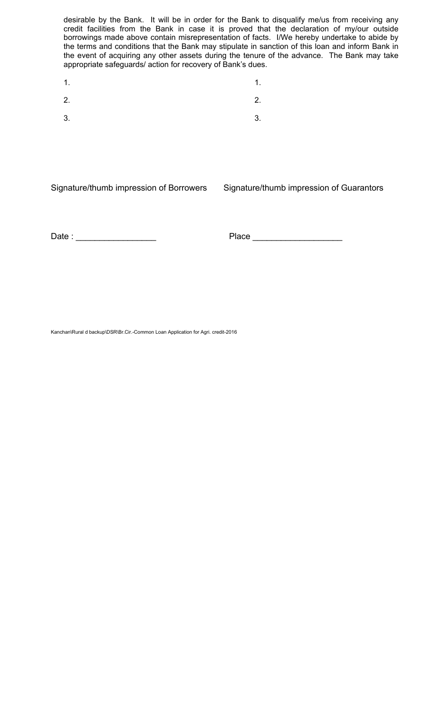desirable by the Bank. It will be in order for the Bank to disqualify me/us from receiving any credit facilities from the Bank in case it is proved that the declaration of my/our outside borrowings made above contain misrepresentation of facts. I/We hereby undertake to abide by the terms and conditions that the Bank may stipulate in sanction of this loan and inform Bank in the event of acquiring any other assets during the tenure of the advance. The Bank may take appropriate safeguards/ action for recovery of Bank's dues.

 $1.$  1. 2.  $\hspace{1.6cm}$  2.  $3.$   $3.$ 

Signature/thumb impression of Borrowers Signature/thumb impression of Guarantors

Date : \_\_\_\_\_\_\_\_\_\_\_\_\_\_\_\_\_ Place \_\_\_\_\_\_\_\_\_\_\_\_\_\_\_\_\_\_\_

Kanchan\Rural d backup\DSR\Br.Cir.-Common Loan Application for Agri. credit-2016